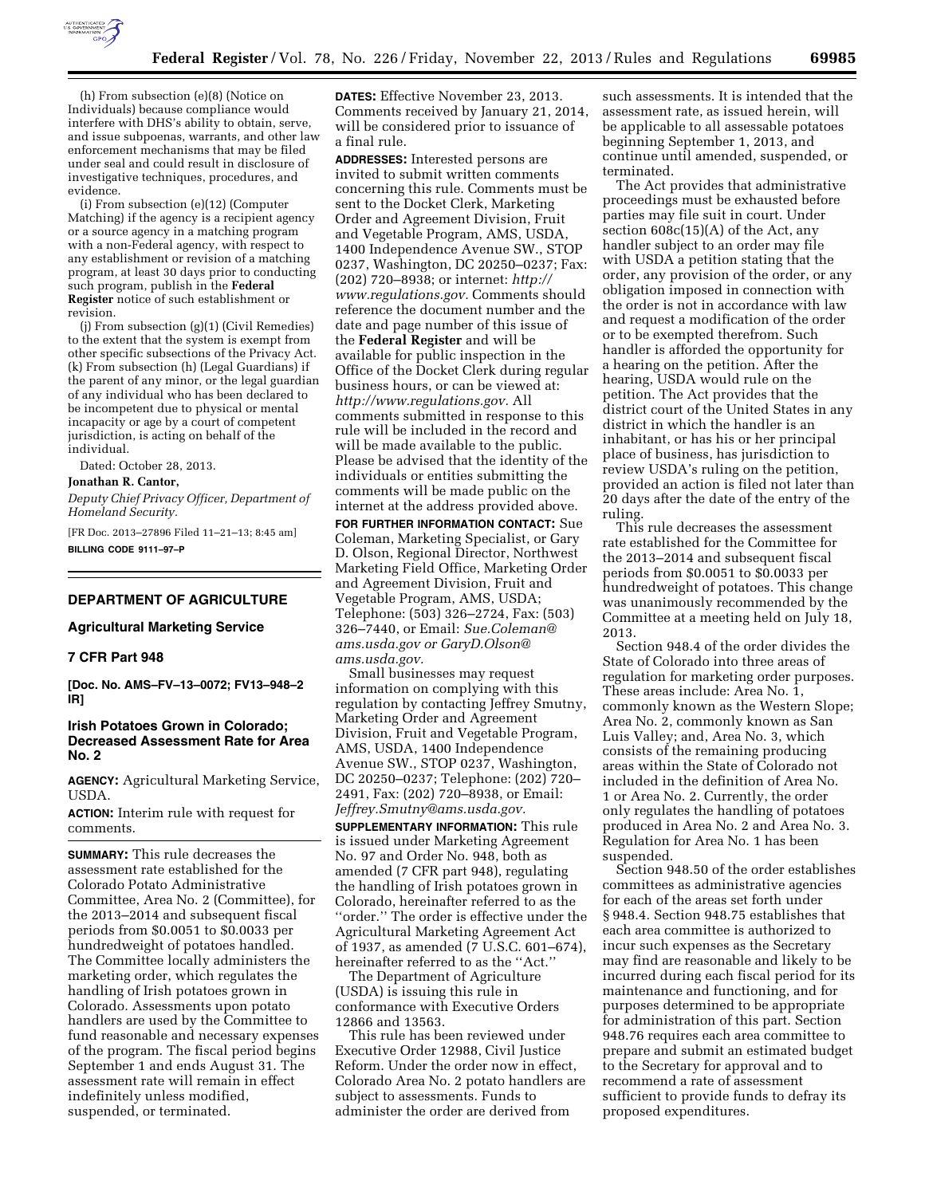

(h) From subsection (e)(8) (Notice on Individuals) because compliance would interfere with DHS's ability to obtain, serve, and issue subpoenas, warrants, and other law enforcement mechanisms that may be filed under seal and could result in disclosure of investigative techniques, procedures, and evidence.

(i) From subsection (e)(12) (Computer Matching) if the agency is a recipient agency or a source agency in a matching program with a non-Federal agency, with respect to any establishment or revision of a matching program, at least 30 days prior to conducting such program, publish in the **Federal Register** notice of such establishment or revision.

(j) From subsection (g)(1) (Civil Remedies) to the extent that the system is exempt from other specific subsections of the Privacy Act. (k) From subsection (h) (Legal Guardians) if the parent of any minor, or the legal guardian of any individual who has been declared to be incompetent due to physical or mental incapacity or age by a court of competent jurisdiction, is acting on behalf of the individual.

Dated: October 28, 2013.

## **Jonathan R. Cantor,**

*Deputy Chief Privacy Officer, Department of Homeland Security.* 

[FR Doc. 2013–27896 Filed 11–21–13; 8:45 am] **BILLING CODE 9111–97–P** 

### **DEPARTMENT OF AGRICULTURE**

**Agricultural Marketing Service** 

# **7 CFR Part 948**

**[Doc. No. AMS–FV–13–0072; FV13–948–2 IR]** 

## **Irish Potatoes Grown in Colorado; Decreased Assessment Rate for Area No. 2**

**AGENCY:** Agricultural Marketing Service, USDA.

**ACTION:** Interim rule with request for comments.

**SUMMARY:** This rule decreases the assessment rate established for the Colorado Potato Administrative Committee, Area No. 2 (Committee), for the 2013–2014 and subsequent fiscal periods from \$0.0051 to \$0.0033 per hundredweight of potatoes handled. The Committee locally administers the marketing order, which regulates the handling of Irish potatoes grown in Colorado. Assessments upon potato handlers are used by the Committee to fund reasonable and necessary expenses of the program. The fiscal period begins September 1 and ends August 31. The assessment rate will remain in effect indefinitely unless modified, suspended, or terminated.

**DATES:** Effective November 23, 2013. Comments received by January 21, 2014, will be considered prior to issuance of a final rule.

**ADDRESSES:** Interested persons are invited to submit written comments concerning this rule. Comments must be sent to the Docket Clerk, Marketing Order and Agreement Division, Fruit and Vegetable Program, AMS, USDA, 1400 Independence Avenue SW., STOP 0237, Washington, DC 20250–0237; Fax: (202) 720–8938; or internet: *[http://](http://www.regulations.gov) [www.regulations.gov.](http://www.regulations.gov)* Comments should reference the document number and the date and page number of this issue of the **Federal Register** and will be available for public inspection in the Office of the Docket Clerk during regular business hours, or can be viewed at: *[http://www.regulations.gov.](http://www.regulations.gov)* All comments submitted in response to this rule will be included in the record and will be made available to the public. Please be advised that the identity of the individuals or entities submitting the comments will be made public on the internet at the address provided above.

**FOR FURTHER INFORMATION CONTACT:** Sue Coleman, Marketing Specialist, or Gary D. Olson, Regional Director, Northwest Marketing Field Office, Marketing Order and Agreement Division, Fruit and Vegetable Program, AMS, USDA; Telephone: (503) 326–2724, Fax: (503) 326–7440, or Email: *[Sue.Coleman@](mailto:Sue.Coleman@ams.usda.gov) [ams.usda.gov](mailto:Sue.Coleman@ams.usda.gov) or [GaryD.Olson@](mailto:GaryD.Olson@ams.usda.gov) [ams.usda.gov.](mailto:GaryD.Olson@ams.usda.gov)* 

Small businesses may request information on complying with this regulation by contacting Jeffrey Smutny, Marketing Order and Agreement Division, Fruit and Vegetable Program, AMS, USDA, 1400 Independence Avenue SW., STOP 0237, Washington, DC 20250–0237; Telephone: (202) 720– 2491, Fax: (202) 720–8938, or Email: *[Jeffrey.Smutny@ams.usda.gov.](mailto:Jeffrey.Smutny@ams.usda.gov)* 

**SUPPLEMENTARY INFORMATION:** This rule is issued under Marketing Agreement No. 97 and Order No. 948, both as amended (7 CFR part 948), regulating the handling of Irish potatoes grown in Colorado, hereinafter referred to as the ''order.'' The order is effective under the Agricultural Marketing Agreement Act of 1937, as amended (7 U.S.C. 601–674), hereinafter referred to as the ''Act.''

The Department of Agriculture (USDA) is issuing this rule in conformance with Executive Orders 12866 and 13563.

This rule has been reviewed under Executive Order 12988, Civil Justice Reform. Under the order now in effect, Colorado Area No. 2 potato handlers are subject to assessments. Funds to administer the order are derived from

such assessments. It is intended that the assessment rate, as issued herein, will be applicable to all assessable potatoes beginning September 1, 2013, and continue until amended, suspended, or terminated.

The Act provides that administrative proceedings must be exhausted before parties may file suit in court. Under section 608c(15)(A) of the Act, any handler subject to an order may file with USDA a petition stating that the order, any provision of the order, or any obligation imposed in connection with the order is not in accordance with law and request a modification of the order or to be exempted therefrom. Such handler is afforded the opportunity for a hearing on the petition. After the hearing, USDA would rule on the petition. The Act provides that the district court of the United States in any district in which the handler is an inhabitant, or has his or her principal place of business, has jurisdiction to review USDA's ruling on the petition, provided an action is filed not later than 20 days after the date of the entry of the ruling.

This rule decreases the assessment rate established for the Committee for the 2013–2014 and subsequent fiscal periods from \$0.0051 to \$0.0033 per hundredweight of potatoes. This change was unanimously recommended by the Committee at a meeting held on July 18, 2013.

Section 948.4 of the order divides the State of Colorado into three areas of regulation for marketing order purposes. These areas include: Area No. 1, commonly known as the Western Slope; Area No. 2, commonly known as San Luis Valley; and, Area No. 3, which consists of the remaining producing areas within the State of Colorado not included in the definition of Area No. 1 or Area No. 2. Currently, the order only regulates the handling of potatoes produced in Area No. 2 and Area No. 3. Regulation for Area No. 1 has been suspended.

Section 948.50 of the order establishes committees as administrative agencies for each of the areas set forth under § 948.4. Section 948.75 establishes that each area committee is authorized to incur such expenses as the Secretary may find are reasonable and likely to be incurred during each fiscal period for its maintenance and functioning, and for purposes determined to be appropriate for administration of this part. Section 948.76 requires each area committee to prepare and submit an estimated budget to the Secretary for approval and to recommend a rate of assessment sufficient to provide funds to defray its proposed expenditures.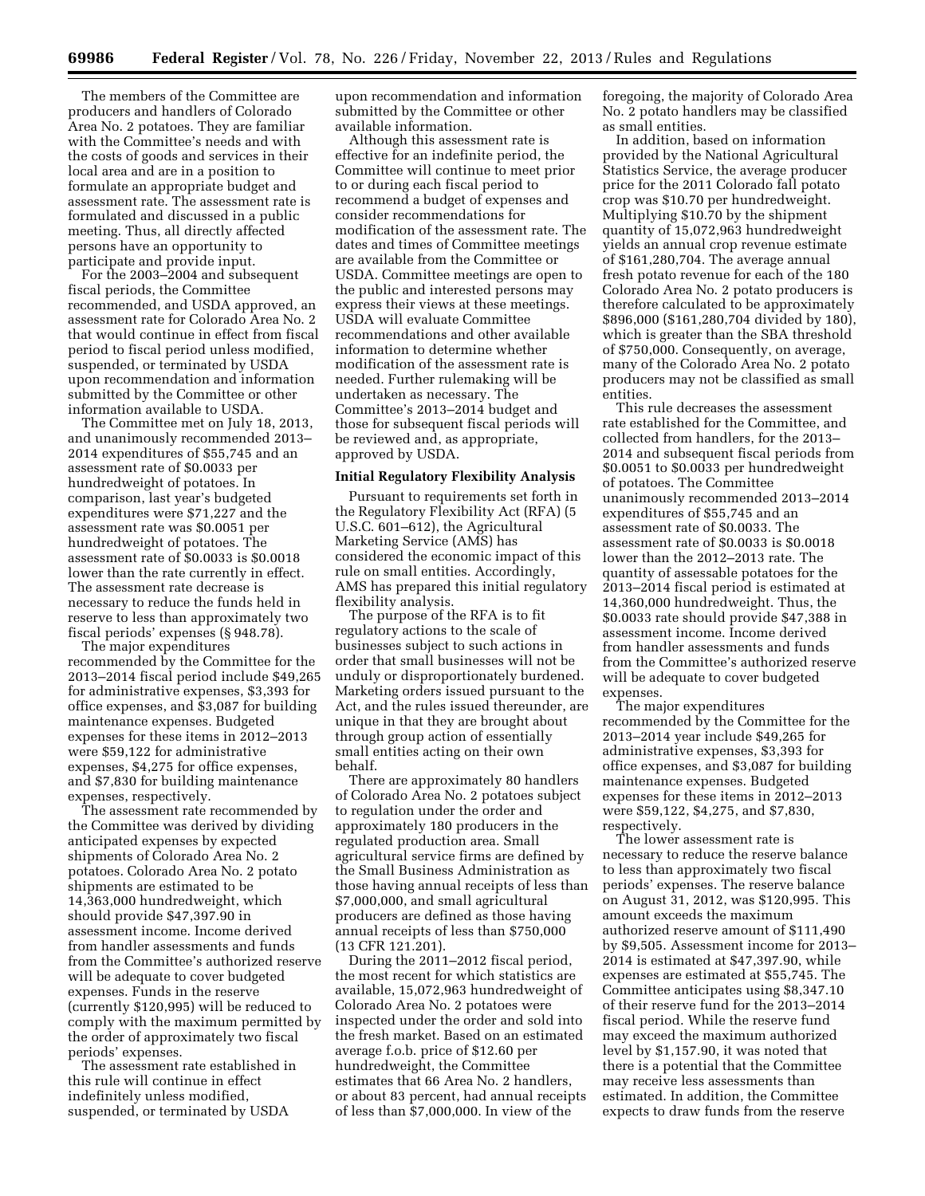The members of the Committee are producers and handlers of Colorado Area No. 2 potatoes. They are familiar with the Committee's needs and with the costs of goods and services in their local area and are in a position to formulate an appropriate budget and assessment rate. The assessment rate is formulated and discussed in a public meeting. Thus, all directly affected persons have an opportunity to participate and provide input.

For the 2003–2004 and subsequent fiscal periods, the Committee recommended, and USDA approved, an assessment rate for Colorado Area No. 2 that would continue in effect from fiscal period to fiscal period unless modified, suspended, or terminated by USDA upon recommendation and information submitted by the Committee or other information available to USDA.

The Committee met on July 18, 2013, and unanimously recommended 2013– 2014 expenditures of \$55,745 and an assessment rate of \$0.0033 per hundredweight of potatoes. In comparison, last year's budgeted expenditures were \$71,227 and the assessment rate was \$0.0051 per hundredweight of potatoes. The assessment rate of \$0.0033 is \$0.0018 lower than the rate currently in effect. The assessment rate decrease is necessary to reduce the funds held in reserve to less than approximately two fiscal periods' expenses (§ 948.78).

The major expenditures recommended by the Committee for the 2013–2014 fiscal period include \$49,265 for administrative expenses, \$3,393 for office expenses, and \$3,087 for building maintenance expenses. Budgeted expenses for these items in 2012–2013 were \$59,122 for administrative expenses, \$4,275 for office expenses, and \$7,830 for building maintenance expenses, respectively.

The assessment rate recommended by the Committee was derived by dividing anticipated expenses by expected shipments of Colorado Area No. 2 potatoes. Colorado Area No. 2 potato shipments are estimated to be 14,363,000 hundredweight, which should provide \$47,397.90 in assessment income. Income derived from handler assessments and funds from the Committee's authorized reserve will be adequate to cover budgeted expenses. Funds in the reserve (currently \$120,995) will be reduced to comply with the maximum permitted by the order of approximately two fiscal periods' expenses.

The assessment rate established in this rule will continue in effect indefinitely unless modified, suspended, or terminated by USDA

upon recommendation and information submitted by the Committee or other available information.

Although this assessment rate is effective for an indefinite period, the Committee will continue to meet prior to or during each fiscal period to recommend a budget of expenses and consider recommendations for modification of the assessment rate. The dates and times of Committee meetings are available from the Committee or USDA. Committee meetings are open to the public and interested persons may express their views at these meetings. USDA will evaluate Committee recommendations and other available information to determine whether modification of the assessment rate is needed. Further rulemaking will be undertaken as necessary. The Committee's 2013–2014 budget and those for subsequent fiscal periods will be reviewed and, as appropriate, approved by USDA.

#### **Initial Regulatory Flexibility Analysis**

Pursuant to requirements set forth in the Regulatory Flexibility Act (RFA) (5 U.S.C. 601–612), the Agricultural Marketing Service (AMS) has considered the economic impact of this rule on small entities. Accordingly, AMS has prepared this initial regulatory flexibility analysis.

The purpose of the RFA is to fit regulatory actions to the scale of businesses subject to such actions in order that small businesses will not be unduly or disproportionately burdened. Marketing orders issued pursuant to the Act, and the rules issued thereunder, are unique in that they are brought about through group action of essentially small entities acting on their own behalf.

There are approximately 80 handlers of Colorado Area No. 2 potatoes subject to regulation under the order and approximately 180 producers in the regulated production area. Small agricultural service firms are defined by the Small Business Administration as those having annual receipts of less than \$7,000,000, and small agricultural producers are defined as those having annual receipts of less than \$750,000 (13 CFR 121.201).

During the 2011–2012 fiscal period, the most recent for which statistics are available, 15,072,963 hundredweight of Colorado Area No. 2 potatoes were inspected under the order and sold into the fresh market. Based on an estimated average f.o.b. price of \$12.60 per hundredweight, the Committee estimates that 66 Area No. 2 handlers, or about 83 percent, had annual receipts of less than \$7,000,000. In view of the

foregoing, the majority of Colorado Area No. 2 potato handlers may be classified as small entities.

In addition, based on information provided by the National Agricultural Statistics Service, the average producer price for the 2011 Colorado fall potato crop was \$10.70 per hundredweight. Multiplying \$10.70 by the shipment quantity of 15,072,963 hundredweight yields an annual crop revenue estimate of \$161,280,704. The average annual fresh potato revenue for each of the 180 Colorado Area No. 2 potato producers is therefore calculated to be approximately \$896,000 (\$161,280,704 divided by 180), which is greater than the SBA threshold of \$750,000. Consequently, on average, many of the Colorado Area No. 2 potato producers may not be classified as small entities.

This rule decreases the assessment rate established for the Committee, and collected from handlers, for the 2013– 2014 and subsequent fiscal periods from \$0.0051 to \$0.0033 per hundredweight of potatoes. The Committee unanimously recommended 2013–2014 expenditures of \$55,745 and an assessment rate of \$0.0033. The assessment rate of \$0.0033 is \$0.0018 lower than the 2012–2013 rate. The quantity of assessable potatoes for the 2013–2014 fiscal period is estimated at 14,360,000 hundredweight. Thus, the \$0.0033 rate should provide \$47,388 in assessment income. Income derived from handler assessments and funds from the Committee's authorized reserve will be adequate to cover budgeted expenses.

The major expenditures recommended by the Committee for the 2013–2014 year include \$49,265 for administrative expenses, \$3,393 for office expenses, and \$3,087 for building maintenance expenses. Budgeted expenses for these items in 2012–2013 were \$59,122, \$4,275, and \$7,830, respectively.

The lower assessment rate is necessary to reduce the reserve balance to less than approximately two fiscal periods' expenses. The reserve balance on August 31, 2012, was \$120,995. This amount exceeds the maximum authorized reserve amount of \$111,490 by \$9,505. Assessment income for 2013– 2014 is estimated at \$47,397.90, while expenses are estimated at \$55,745. The Committee anticipates using \$8,347.10 of their reserve fund for the 2013–2014 fiscal period. While the reserve fund may exceed the maximum authorized level by \$1,157.90, it was noted that there is a potential that the Committee may receive less assessments than estimated. In addition, the Committee expects to draw funds from the reserve